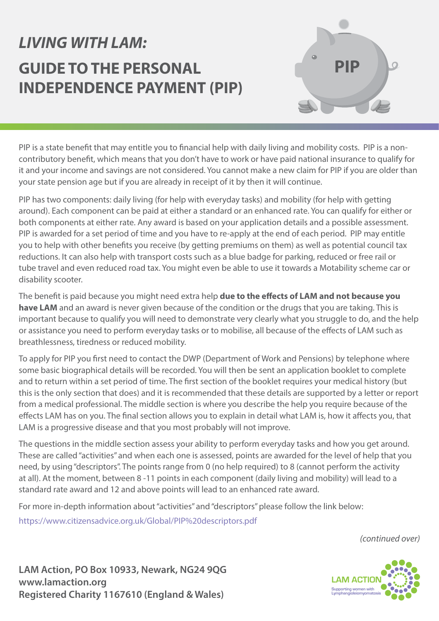# *LIVING WITH LAM:* **GUIDE TO THE PERSONAL INDEPENDENCE PAYMENT (PIP)**



PIP is a state benefit that may entitle you to financial help with daily living and mobility costs. PIP is a noncontributory benefit, which means that you don't have to work or have paid national insurance to qualify for it and your income and savings are not considered. You cannot make a new claim for PIP if you are older than your state pension age but if you are already in receipt of it by then it will continue.

PIP has two components: daily living (for help with everyday tasks) and mobility (for help with getting around). Each component can be paid at either a standard or an enhanced rate. You can qualify for either or both components at either rate. Any award is based on your application details and a possible assessment. PIP is awarded for a set period of time and you have to re-apply at the end of each period. PIP may entitle you to help with other benefits you receive (by getting premiums on them) as well as potential council tax reductions. It can also help with transport costs such as a blue badge for parking, reduced or free rail or tube travel and even reduced road tax. You might even be able to use it towards a Motability scheme car or disability scooter.

The benefit is paid because you might need extra help **due to the effects of LAM and not because you have LAM** and an award is never given because of the condition or the drugs that you are taking. This is important because to qualify you will need to demonstrate very clearly what you struggle to do, and the help or assistance you need to perform everyday tasks or to mobilise, all because of the effects of LAM such as breathlessness, tiredness or reduced mobility.

To apply for PIP you first need to contact the DWP (Department of Work and Pensions) by telephone where some basic biographical details will be recorded. You will then be sent an application booklet to complete and to return within a set period of time. The first section of the booklet requires your medical history (but this is the only section that does) and it is recommended that these details are supported by a letter or report from a medical professional. The middle section is where you describe the help you require because of the effects LAM has on you. The final section allows you to explain in detail what LAM is, how it affects you, that LAM is a progressive disease and that you most probably will not improve.

The questions in the middle section assess your ability to perform everyday tasks and how you get around. These are called "activities" and when each one is assessed, points are awarded for the level of help that you need, by using "descriptors". The points range from 0 (no help required) to 8 (cannot perform the activity at all). At the moment, between 8 -11 points in each component (daily living and mobility) will lead to a standard rate award and 12 and above points will lead to an enhanced rate award.

For more in-depth information about "activities" and "descriptors" please follow the link below:

https://www.citizensadvice.org.uk/Global/PIP%20descriptors.pdf

*(continued over)*

**LAM Action, PO Box 10933, Newark, NG24 9QG www.lamaction.org Registered Charity 1167610 (England & Wales)**